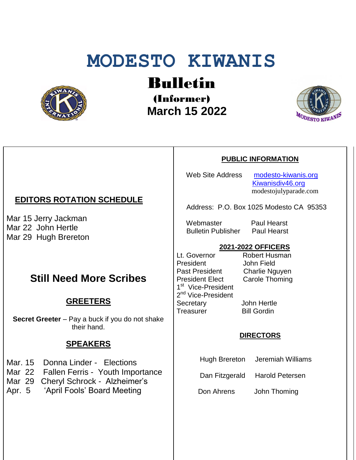# **MODESTO KIWANIS**



Bulletin

(Informer)  **March 15 2022**



#### **PUBLIC INFORMATION**

Web Site Address [modesto-kiwanis.org](http://modesto-kiwanis.org/) [Kiwanisdiv46.org](http://www.kiwanisdiv46.org/) modestojulyparade.com

Address: P.O. Box 1025 Modesto CA 95353

Webmaster Paul Hearst Bulletin Publisher Paul Hearst

# **2021-2022 OFFICERS**

Lt. Governor Robert Husman President John Field Past President Charlie Nguyen President Elect Carole Thoming 1<sup>st</sup> Vice-President 2<sup>nd</sup> Vice-President Secretary John Hertle Treasurer Bill Gordin

#### **DIRECTORS**

Hugh Brereton Jeremiah Williams

Dan Fitzgerald Harold Petersen

Don Ahrens John Thoming

# **EDITORS ROTATION SCHEDULE**

Mar 15 Jerry Jackman Mar 22 John Hertle Mar 29 Hugh Brereton

# **Still Need More Scribes**

## **GREETERS**

**Secret Greeter** – Pay a buck if you do not shake their hand.

### **SPEAKERS**

- Mar. 15 Donna Linder Elections
- Mar 22 Fallen Ferris Youth Importance
- Mar 29 Cheryl Schrock Alzheimer's
- Apr. 5 'April Fools' Board Meeting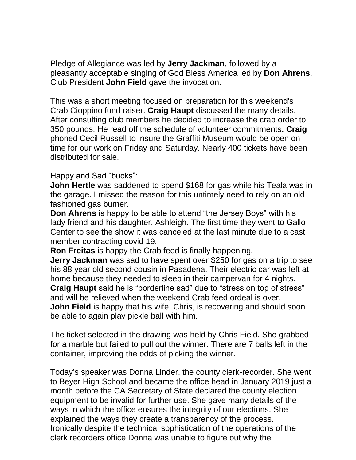Pledge of Allegiance was led by **Jerry Jackman**, followed by a pleasantly acceptable singing of God Bless America led by **Don Ahrens**. Club President **John Field** gave the invocation.

This was a short meeting focused on preparation for this weekend's Crab Cioppino fund raiser. **Craig Haupt** discussed the many details. After consulting club members he decided to increase the crab order to 350 pounds. He read off the schedule of volunteer commitments**. Craig** phoned Cecil Russell to insure the Graffiti Museum would be open on time for our work on Friday and Saturday. Nearly 400 tickets have been distributed for sale.

#### Happy and Sad "bucks":

**John Hertle** was saddened to spend \$168 for gas while his Teala was in the garage. I missed the reason for this untimely need to rely on an old fashioned gas burner.

**Don Ahrens** is happy to be able to attend "the Jersey Boys" with his lady friend and his daughter, Ashleigh. The first time they went to Gallo Center to see the show it was canceled at the last minute due to a cast member contracting covid 19.

**Ron Freitas** is happy the Crab feed is finally happening.

**Jerry Jackman** was sad to have spent over \$250 for gas on a trip to see his 88 year old second cousin in Pasadena. Their electric car was left at home because they needed to sleep in their campervan for 4 nights.

**Craig Haupt** said he is "borderline sad" due to "stress on top of stress" and will be relieved when the weekend Crab feed ordeal is over.

**John Field** is happy that his wife, Chris, is recovering and should soon be able to again play pickle ball with him.

The ticket selected in the drawing was held by Chris Field. She grabbed for a marble but failed to pull out the winner. There are 7 balls left in the container, improving the odds of picking the winner.

Today's speaker was Donna Linder, the county clerk-recorder. She went to Beyer High School and became the office head in January 2019 just a month before the CA Secretary of State declared the county election equipment to be invalid for further use. She gave many details of the ways in which the office ensures the integrity of our elections. She explained the ways they create a transparency of the process. Ironically despite the technical sophistication of the operations of the clerk recorders office Donna was unable to figure out why the